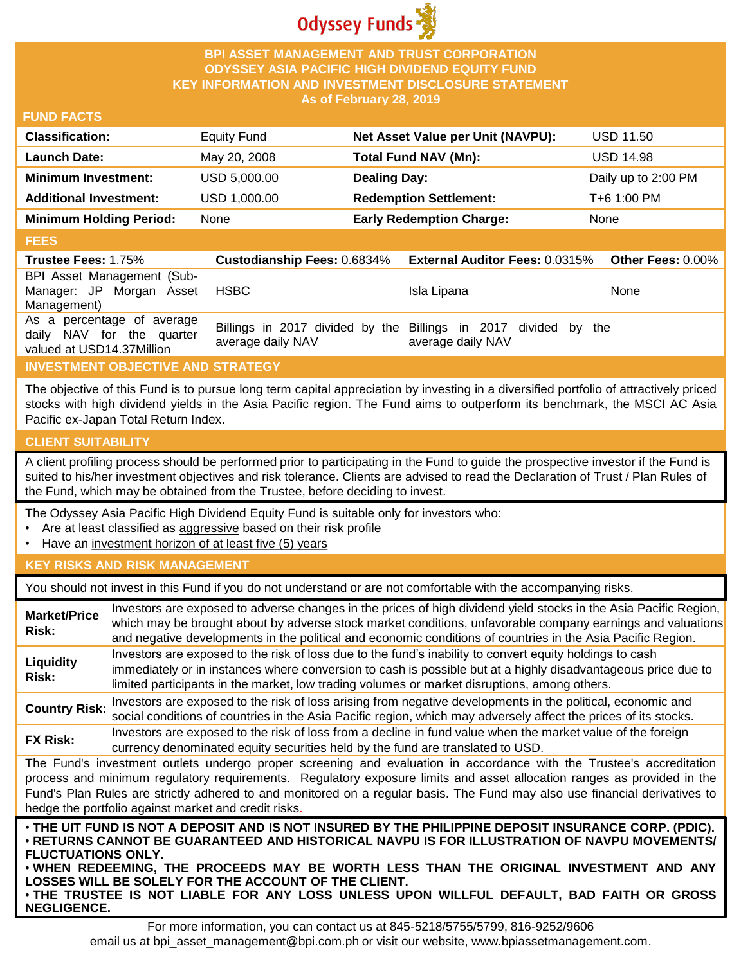

## **BPI ASSET MANAGEMENT AND TRUST CORPORATION ODYSSEY ASIA PACIFIC HIGH DIVIDEND EQUITY FUND KEY INFORMATION AND INVESTMENT DISCLOSURE STATEMENT As of February 28, 2019**

## **FUND FACTS**

| <b>Classification:</b>         | Equity Fund  | Net Asset Value per Unit (NAVPU): | <b>USD 11.50</b>    |
|--------------------------------|--------------|-----------------------------------|---------------------|
| <b>Launch Date:</b>            | May 20, 2008 | <b>Total Fund NAV (Mn):</b>       | <b>USD 14.98</b>    |
| <b>Minimum Investment:</b>     | USD 5,000.00 | <b>Dealing Day:</b>               | Daily up to 2:00 PM |
| <b>Additional Investment:</b>  | USD 1,000.00 | <b>Redemption Settlement:</b>     | T+6 1:00 PM         |
| <b>Minimum Holding Period:</b> | None         | <b>Early Redemption Charge:</b>   | None                |

#### **FEES**

| <b>Trustee Fees: 1.75%</b>                                                           | <b>Custodianship Fees: 0.6834%</b> | <b>External Auditor Fees: 0.0315%</b>                                                | <b>Other Fees: 0.00%</b> |
|--------------------------------------------------------------------------------------|------------------------------------|--------------------------------------------------------------------------------------|--------------------------|
| BPI Asset Management (Sub-<br>Manager: JP Morgan Asset<br>Management)                | HSBC                               | Isla Lipana                                                                          | None                     |
| As a percentage of average<br>daily NAV for the quarter<br>valued at USD14.37Million | average daily NAV                  | Billings in 2017 divided by the Billings in 2017 divided by the<br>average daily NAV |                          |

# **INVESTMENT OBJECTIVE AND STRATEGY**

The objective of this Fund is to pursue long term capital appreciation by investing in a diversified portfolio of attractively priced stocks with high dividend yields in the Asia Pacific region. The Fund aims to outperform its benchmark, the MSCI AC Asia Pacific ex-Japan Total Return Index.

# **CLIENT SUITABILITY**

**NEGLIGENCE.**

A client profiling process should be performed prior to participating in the Fund to guide the prospective investor if the Fund is suited to his/her investment objectives and risk tolerance. Clients are advised to read the Declaration of Trust / Plan Rules of the Fund, which may be obtained from the Trustee, before deciding to invest.

The Odyssey Asia Pacific High Dividend Equity Fund is suitable only for investors who:

- Are at least classified as aggressive based on their risk profile
- Have an investment horizon of at least five (5) years

# **KEY RISKS AND RISK MANAGEMENT**

You should not invest in this Fund if you do not understand or are not comfortable with the accompanying risks.

| <b>Market/Price</b><br>Risk:                                                                                                                                                                                                                                                                                                                                                                                                         | Investors are exposed to adverse changes in the prices of high dividend yield stocks in the Asia Pacific Region,<br>which may be brought about by adverse stock market conditions, unfavorable company earnings and valuations<br>and negative developments in the political and economic conditions of countries in the Asia Pacific Region.                                                                                                   |  |  |
|--------------------------------------------------------------------------------------------------------------------------------------------------------------------------------------------------------------------------------------------------------------------------------------------------------------------------------------------------------------------------------------------------------------------------------------|-------------------------------------------------------------------------------------------------------------------------------------------------------------------------------------------------------------------------------------------------------------------------------------------------------------------------------------------------------------------------------------------------------------------------------------------------|--|--|
| Liquidity<br>Risk:                                                                                                                                                                                                                                                                                                                                                                                                                   | Investors are exposed to the risk of loss due to the fund's inability to convert equity holdings to cash<br>immediately or in instances where conversion to cash is possible but at a highly disadvantageous price due to<br>limited participants in the market, low trading volumes or market disruptions, among others.                                                                                                                       |  |  |
| <b>Country Risk:</b>                                                                                                                                                                                                                                                                                                                                                                                                                 | Investors are exposed to the risk of loss arising from negative developments in the political, economic and<br>social conditions of countries in the Asia Pacific region, which may adversely affect the prices of its stocks.                                                                                                                                                                                                                  |  |  |
| <b>FX Risk:</b>                                                                                                                                                                                                                                                                                                                                                                                                                      | Investors are exposed to the risk of loss from a decline in fund value when the market value of the foreign<br>currency denominated equity securities held by the fund are translated to USD.                                                                                                                                                                                                                                                   |  |  |
| The Fund's investment outlets undergo proper screening and evaluation in accordance with the Trustee's accreditation<br>process and minimum regulatory requirements. Regulatory exposure limits and asset allocation ranges as provided in the<br>Fund's Plan Rules are strictly adhered to and monitored on a regular basis. The Fund may also use financial derivatives to<br>hedge the portfolio against market and credit risks. |                                                                                                                                                                                                                                                                                                                                                                                                                                                 |  |  |
| <b>FLUCTUATIONS ONLY.</b>                                                                                                                                                                                                                                                                                                                                                                                                            | . THE UIT FUND IS NOT A DEPOSIT AND IS NOT INSURED BY THE PHILIPPINE DEPOSIT INSURANCE CORP. (PDIC).<br>⋅RETURNS CANNOT BE GUARANTEED AND HISTORICAL NAVPU IS FOR ILLUSTRATION OF NAVPU MOVEMENTS/<br>. WHEN REDEEMING, THE PROCEEDS MAY BE WORTH LESS THAN THE ORIGINAL INVESTMENT AND ANY<br>LOSSES WILL BE SOLELY FOR THE ACCOUNT OF THE CLIENT.<br>. THE TRUSTEE IS NOT LIABLE FOR ANY LOSS UNLESS UPON WILLFUL DEFAULT, BAD FAITH OR GROSS |  |  |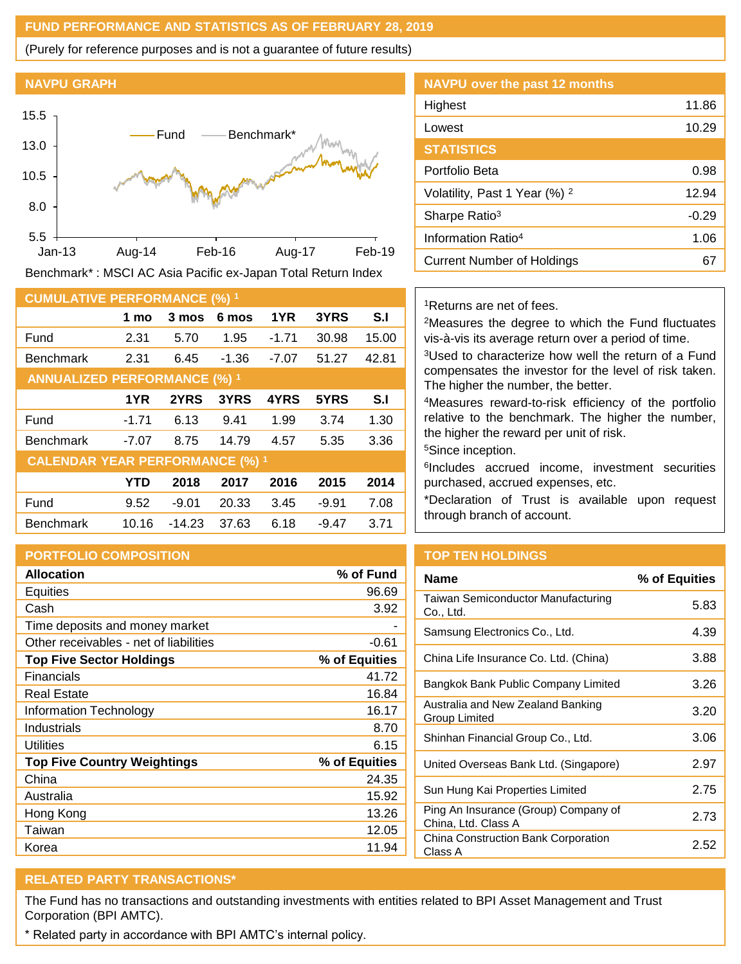## **FUND PERFORMANCE AND STATISTICS AS OF FEBRUARY 28, 2019**

(Purely for reference purposes and is not a guarantee of future results)

#### **NAVPU GRAPH**



Benchmark\* : MSCI AC Asia Pacific ex-Japan Total Return Index

| <b>CUMULATIVE PERFORMANCE (%) 1</b>    |            |         |         |         |         |                |
|----------------------------------------|------------|---------|---------|---------|---------|----------------|
|                                        | 1 mo       | 3 mos   | 6 mos   | 1YR     | 3YRS    | S <sub>1</sub> |
| Fund                                   | 2.31       | 5.70    | 1.95    | $-1.71$ | 30.98   | 15.00          |
| <b>Benchmark</b>                       | 2.31       | 6.45    | $-1.36$ | $-7.07$ | 51.27   | 42.81          |
| <b>ANNUALIZED PERFORMANCE (%) 1</b>    |            |         |         |         |         |                |
|                                        | 1YR        | 2YRS    | 3YRS    | 4YRS    | 5YRS    | S.I            |
| Fund                                   | $-1.71$    | 6.13    | 9.41    | 1.99    | 3.74    | 1.30           |
| <b>Benchmark</b>                       | $-7.07$    | 8.75    | 14.79   | 4.57    | 5.35    | 3.36           |
| <b>CALENDAR YEAR PERFORMANCE (%) 1</b> |            |         |         |         |         |                |
|                                        | <b>YTD</b> | 2018    | 2017    | 2016    | 2015    | 2014           |
| Fund                                   | 9.52       | $-9.01$ | 20.33   | 3.45    | $-9.91$ | 7.08           |
| <b>Benchmark</b>                       | 10.16      | -14.23  | 37.63   | 6.18    | $-9.47$ | 3.71           |

# **PORTFOLIO COMPOSITION**

| <b>Allocation</b>                      | % of Fund     |
|----------------------------------------|---------------|
| <b>Equities</b>                        | 96.69         |
| Cash                                   | 3.92          |
| Time deposits and money market         |               |
| Other receivables - net of liabilities | $-0.61$       |
| <b>Top Five Sector Holdings</b>        | % of Equities |
| Financials                             | 41.72         |
| Real Estate                            | 16.84         |
| Information Technology                 | 16.17         |
| Industrials                            | 8.70          |
| Utilities                              | 6.15          |
| <b>Top Five Country Weightings</b>     | % of Equities |
| China                                  | 24.35         |
| Australia                              | 15.92         |
| Hong Kong                              | 13.26         |
| Taiwan                                 | 12.05         |
| Korea                                  | 11.94         |

| <b>NAVPU</b> over the past 12 months     |         |
|------------------------------------------|---------|
| Highest                                  | 11.86   |
| Lowest                                   | 10.29   |
| <b>STATISTICS</b>                        |         |
| Portfolio Beta                           | 0.98    |
| Volatility, Past 1 Year (%) <sup>2</sup> | 12.94   |
| Sharpe Ratio <sup>3</sup>                | $-0.29$ |
| Information Ratio <sup>4</sup>           | 1.06    |
| Current Number of Holdings               |         |

## <sup>1</sup>Returns are net of fees.

<sup>2</sup>Measures the degree to which the Fund fluctuates vis-à-vis its average return over a period of time.

<sup>3</sup>Used to characterize how well the return of a Fund compensates the investor for the level of risk taken. The higher the number, the better.

<sup>4</sup>Measures reward-to-risk efficiency of the portfolio relative to the benchmark. The higher the number, the higher the reward per unit of risk.

<sup>5</sup>Since inception.

6 Includes accrued income, investment securities purchased, accrued expenses, etc.

\*Declaration of Trust is available upon request through branch of account.

# **TOP TEN HOLDINGS**

| Name                                                        | % of Equities |
|-------------------------------------------------------------|---------------|
| Taiwan Semiconductor Manufacturing<br>Co., Ltd.             | 5.83          |
| Samsung Electronics Co., Ltd.                               | 4.39          |
| China Life Insurance Co. Ltd. (China)                       | 3.88          |
| Bangkok Bank Public Company Limited                         | 3.26          |
| Australia and New Zealand Banking<br>Group Limited          | 3.20          |
| Shinhan Financial Group Co., Ltd.                           | 3.06          |
| United Overseas Bank Ltd. (Singapore)                       | 2.97          |
| Sun Hung Kai Properties Limited                             | 2.75          |
| Ping An Insurance (Group) Company of<br>China, Ltd. Class A | 2.73          |
| China Construction Bank Corporation<br>Class A              | 2.52          |

# **RELATED PARTY TRANSACTIONS\***

The Fund has no transactions and outstanding investments with entities related to BPI Asset Management and Trust Corporation (BPI AMTC).

\* Related party in accordance with BPI AMTC's internal policy.